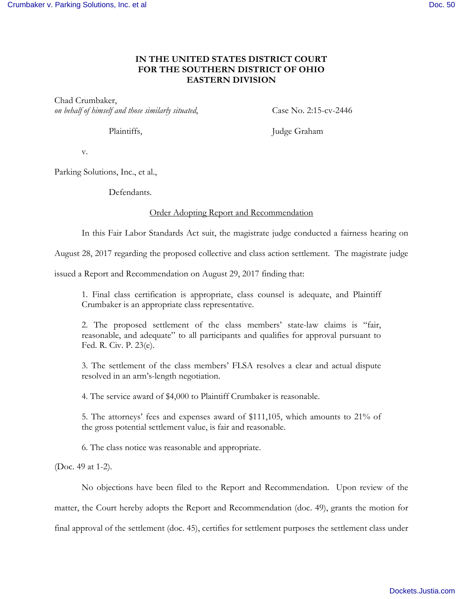## **IN THE UNITED STATES DISTRICT COURT FOR THE SOUTHERN DISTRICT OF OHIO EASTERN DIVISION**

Chad Crumbaker, *on behalf of himself and those similarly situated*, Case No. 2:15-cv-2446

Plaintiffs, Judge Graham

v.

Parking Solutions, Inc., et al.,

Defendants.

## Order Adopting Report and Recommendation

In this Fair Labor Standards Act suit, the magistrate judge conducted a fairness hearing on

August 28, 2017 regarding the proposed collective and class action settlement. The magistrate judge

issued a Report and Recommendation on August 29, 2017 finding that:

1. Final class certification is appropriate, class counsel is adequate, and Plaintiff Crumbaker is an appropriate class representative.

2. The proposed settlement of the class members' state-law claims is "fair, reasonable, and adequate" to all participants and qualifies for approval pursuant to Fed. R. Civ. P. 23(e).

3. The settlement of the class members' FLSA resolves a clear and actual dispute resolved in an arm's-length negotiation.

4. The service award of \$4,000 to Plaintiff Crumbaker is reasonable.

5. The attorneys' fees and expenses award of \$111,105, which amounts to 21% of the gross potential settlement value, is fair and reasonable.

6. The class notice was reasonable and appropriate.

(Doc. 49 at 1-2).

No objections have been filed to the Report and Recommendation. Upon review of the matter, the Court hereby adopts the Report and Recommendation (doc. 49), grants the motion for final approval of the settlement (doc. 45), certifies for settlement purposes the settlement class under